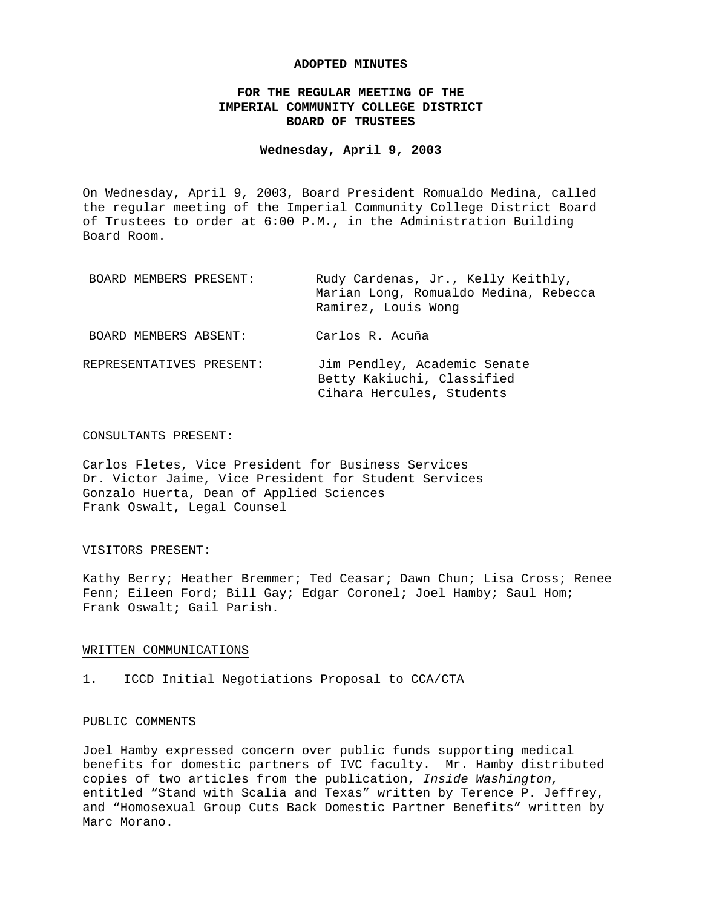## **ADOPTED MINUTES**

## **FOR THE REGULAR MEETING OF THE IMPERIAL COMMUNITY COLLEGE DISTRICT BOARD OF TRUSTEES**

## **Wednesday, April 9, 2003**

On Wednesday, April 9, 2003, Board President Romualdo Medina, called the regular meeting of the Imperial Community College District Board of Trustees to order at 6:00 P.M., in the Administration Building Board Room.

| BOARD MEMBERS PRESENT:   | Rudy Cardenas, Jr., Kelly Keithly,<br>Marian Long, Romualdo Medina, Rebecca<br>Ramirez, Louis Wonq |
|--------------------------|----------------------------------------------------------------------------------------------------|
| BOARD MEMBERS ABSENT:    | Carlos R. Acuña                                                                                    |
| REPRESENTATIVES PRESENT: | Jim Pendley, Academic Senate<br>Betty Kakiuchi, Classified<br>Cihara Hercules, Students            |

## CONSULTANTS PRESENT:

Carlos Fletes, Vice President for Business Services Dr. Victor Jaime, Vice President for Student Services Gonzalo Huerta, Dean of Applied Sciences Frank Oswalt, Legal Counsel

#### VISITORS PRESENT:

Kathy Berry; Heather Bremmer; Ted Ceasar; Dawn Chun; Lisa Cross; Renee Fenn; Eileen Ford; Bill Gay; Edgar Coronel; Joel Hamby; Saul Hom; Frank Oswalt; Gail Parish.

### WRITTEN COMMUNICATIONS

1. ICCD Initial Negotiations Proposal to CCA/CTA

## PUBLIC COMMENTS

Joel Hamby expressed concern over public funds supporting medical benefits for domestic partners of IVC faculty. Mr. Hamby distributed copies of two articles from the publication, *Inside Washington,* entitled "Stand with Scalia and Texas" written by Terence P. Jeffrey, and "Homosexual Group Cuts Back Domestic Partner Benefits" written by Marc Morano.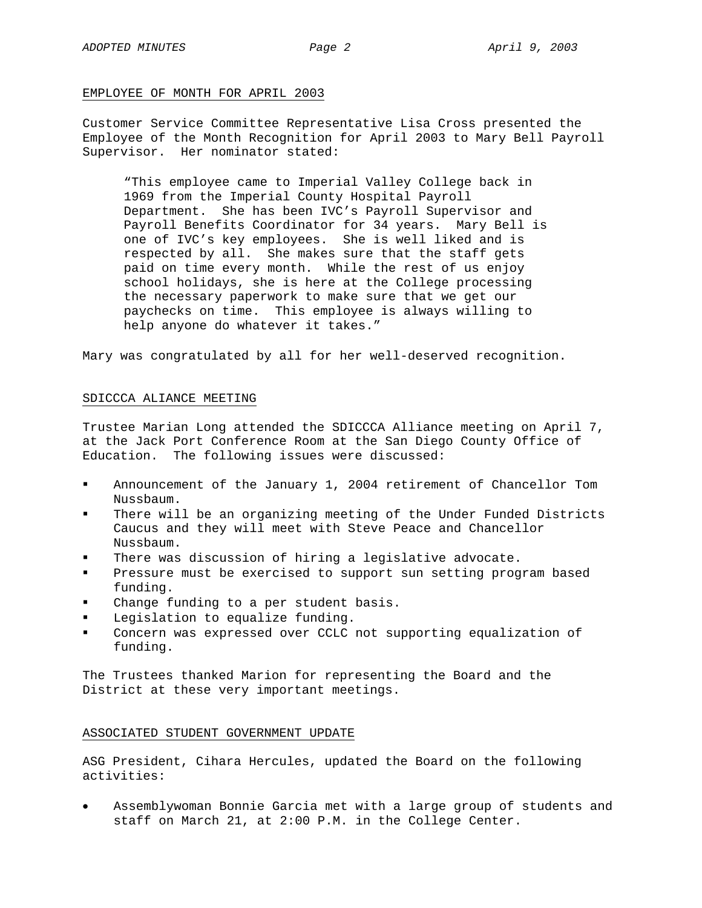### EMPLOYEE OF MONTH FOR APRIL 2003

Customer Service Committee Representative Lisa Cross presented the Employee of the Month Recognition for April 2003 to Mary Bell Payroll Supervisor. Her nominator stated:

"This employee came to Imperial Valley College back in 1969 from the Imperial County Hospital Payroll Department. She has been IVC's Payroll Supervisor and Payroll Benefits Coordinator for 34 years. Mary Bell is one of IVC's key employees. She is well liked and is respected by all. She makes sure that the staff gets paid on time every month. While the rest of us enjoy school holidays, she is here at the College processing the necessary paperwork to make sure that we get our paychecks on time. This employee is always willing to help anyone do whatever it takes."

Mary was congratulated by all for her well-deserved recognition.

## SDICCCA ALIANCE MEETING

Trustee Marian Long attended the SDICCCA Alliance meeting on April 7, at the Jack Port Conference Room at the San Diego County Office of Education. The following issues were discussed:

- Announcement of the January 1, 2004 retirement of Chancellor Tom Nussbaum.
- There will be an organizing meeting of the Under Funded Districts Caucus and they will meet with Steve Peace and Chancellor Nussbaum.
- There was discussion of hiring a legislative advocate.
- Pressure must be exercised to support sun setting program based funding.
- Change funding to a per student basis.
- Legislation to equalize funding.
- Concern was expressed over CCLC not supporting equalization of funding.

The Trustees thanked Marion for representing the Board and the District at these very important meetings.

## ASSOCIATED STUDENT GOVERNMENT UPDATE

ASG President, Cihara Hercules, updated the Board on the following activities:

• Assemblywoman Bonnie Garcia met with a large group of students and staff on March 21, at 2:00 P.M. in the College Center.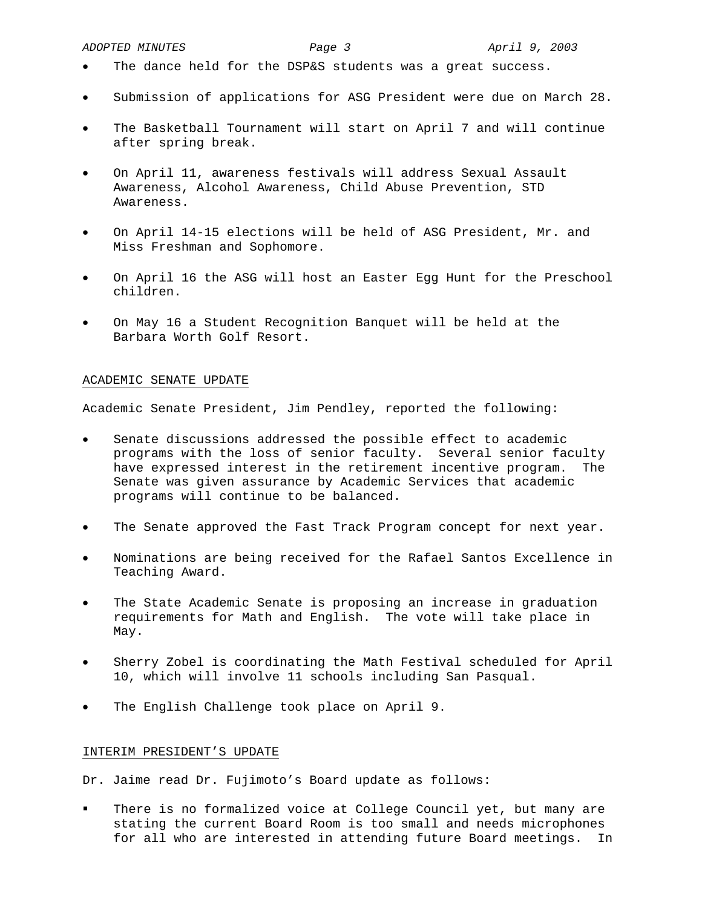- The dance held for the DSP&S students was a great success.
- Submission of applications for ASG President were due on March 28.
- The Basketball Tournament will start on April 7 and will continue after spring break.
- On April 11, awareness festivals will address Sexual Assault Awareness, Alcohol Awareness, Child Abuse Prevention, STD Awareness.
- On April 14-15 elections will be held of ASG President, Mr. and Miss Freshman and Sophomore.
- On April 16 the ASG will host an Easter Egg Hunt for the Preschool children.
- On May 16 a Student Recognition Banquet will be held at the Barbara Worth Golf Resort.

# ACADEMIC SENATE UPDATE

Academic Senate President, Jim Pendley, reported the following:

- Senate discussions addressed the possible effect to academic programs with the loss of senior faculty. Several senior faculty have expressed interest in the retirement incentive program. The Senate was given assurance by Academic Services that academic programs will continue to be balanced.
- The Senate approved the Fast Track Program concept for next year.
- Nominations are being received for the Rafael Santos Excellence in Teaching Award.
- The State Academic Senate is proposing an increase in graduation requirements for Math and English. The vote will take place in May.
- Sherry Zobel is coordinating the Math Festival scheduled for April 10, which will involve 11 schools including San Pasqual.
- The English Challenge took place on April 9.

## INTERIM PRESIDENT'S UPDATE

Dr. Jaime read Dr. Fujimoto's Board update as follows:

 There is no formalized voice at College Council yet, but many are stating the current Board Room is too small and needs microphones for all who are interested in attending future Board meetings. In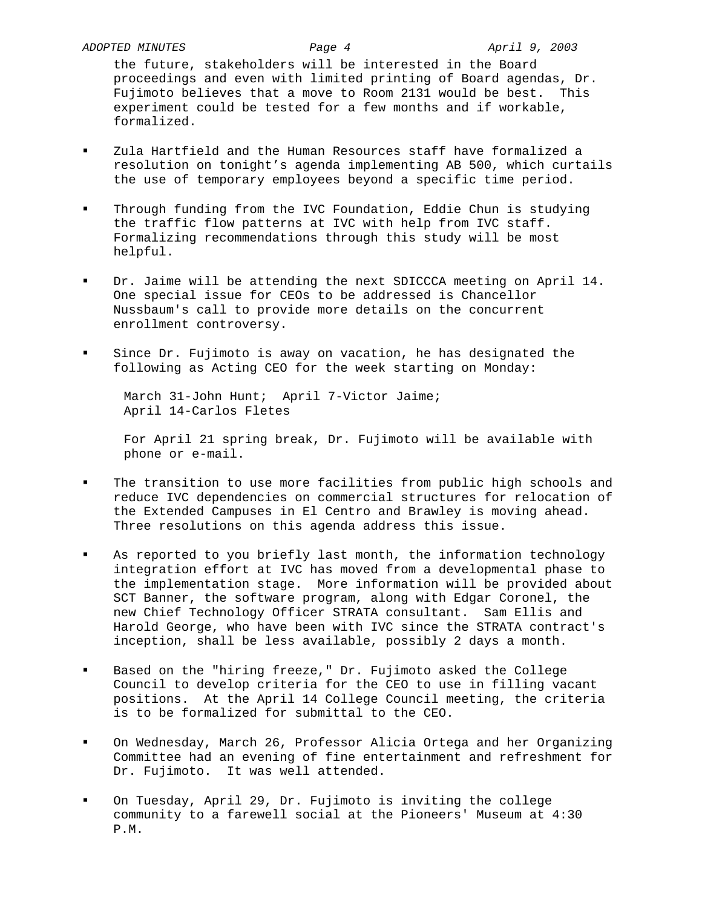the future, stakeholders will be interested in the Board proceedings and even with limited printing of Board agendas, Dr. Fujimoto believes that a move to Room 2131 would be best. This experiment could be tested for a few months and if workable, formalized.

- Zula Hartfield and the Human Resources staff have formalized a resolution on tonight's agenda implementing AB 500, which curtails the use of temporary employees beyond a specific time period.
- Through funding from the IVC Foundation, Eddie Chun is studying the traffic flow patterns at IVC with help from IVC staff. Formalizing recommendations through this study will be most helpful.
- Dr. Jaime will be attending the next SDICCCA meeting on April 14. One special issue for CEOs to be addressed is Chancellor Nussbaum's call to provide more details on the concurrent enrollment controversy.
- Since Dr. Fujimoto is away on vacation, he has designated the following as Acting CEO for the week starting on Monday:

 March 31-John Hunt; April 7-Victor Jaime; April 14-Carlos Fletes

For April 21 spring break, Dr. Fujimoto will be available with phone or e-mail.

- The transition to use more facilities from public high schools and reduce IVC dependencies on commercial structures for relocation of the Extended Campuses in El Centro and Brawley is moving ahead. Three resolutions on this agenda address this issue.
- As reported to you briefly last month, the information technology integration effort at IVC has moved from a developmental phase to the implementation stage. More information will be provided about SCT Banner, the software program, along with Edgar Coronel, the new Chief Technology Officer STRATA consultant. Sam Ellis and Harold George, who have been with IVC since the STRATA contract's inception, shall be less available, possibly 2 days a month.
- Based on the "hiring freeze," Dr. Fujimoto asked the College Council to develop criteria for the CEO to use in filling vacant positions. At the April 14 College Council meeting, the criteria is to be formalized for submittal to the CEO.
- On Wednesday, March 26, Professor Alicia Ortega and her Organizing Committee had an evening of fine entertainment and refreshment for Dr. Fujimoto. It was well attended.
- On Tuesday, April 29, Dr. Fujimoto is inviting the college community to a farewell social at the Pioneers' Museum at 4:30 P.M.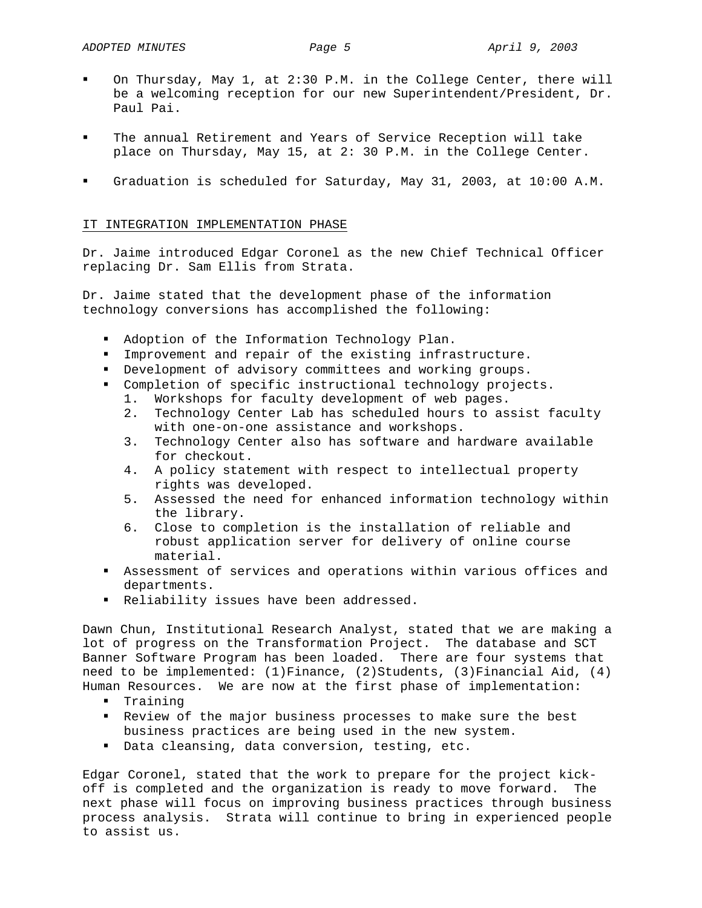- On Thursday, May 1, at 2:30 P.M. in the College Center, there will be a welcoming reception for our new Superintendent/President, Dr. Paul Pai.
- The annual Retirement and Years of Service Reception will take place on Thursday, May 15, at 2: 30 P.M. in the College Center.
- Graduation is scheduled for Saturday, May 31, 2003, at 10:00 A.M.

## IT INTEGRATION IMPLEMENTATION PHASE

Dr. Jaime introduced Edgar Coronel as the new Chief Technical Officer replacing Dr. Sam Ellis from Strata.

Dr. Jaime stated that the development phase of the information technology conversions has accomplished the following:

- Adoption of the Information Technology Plan.
- Improvement and repair of the existing infrastructure.
- Development of advisory committees and working groups.
- Completion of specific instructional technology projects.
	- 1. Workshops for faculty development of web pages.
	- 2. Technology Center Lab has scheduled hours to assist faculty with one-on-one assistance and workshops.
	- 3. Technology Center also has software and hardware available for checkout.
	- 4. A policy statement with respect to intellectual property rights was developed.
	- 5. Assessed the need for enhanced information technology within the library.
	- 6. Close to completion is the installation of reliable and robust application server for delivery of online course material.
- Assessment of services and operations within various offices and departments.
- Reliability issues have been addressed.

Dawn Chun, Institutional Research Analyst, stated that we are making a lot of progress on the Transformation Project. The database and SCT Banner Software Program has been loaded. There are four systems that need to be implemented: (1)Finance, (2)Students, (3)Financial Aid, (4) Human Resources. We are now at the first phase of implementation:

- **•** Training
- Review of the major business processes to make sure the best business practices are being used in the new system.
- Data cleansing, data conversion, testing, etc.

Edgar Coronel, stated that the work to prepare for the project kickoff is completed and the organization is ready to move forward. The next phase will focus on improving business practices through business process analysis. Strata will continue to bring in experienced people to assist us.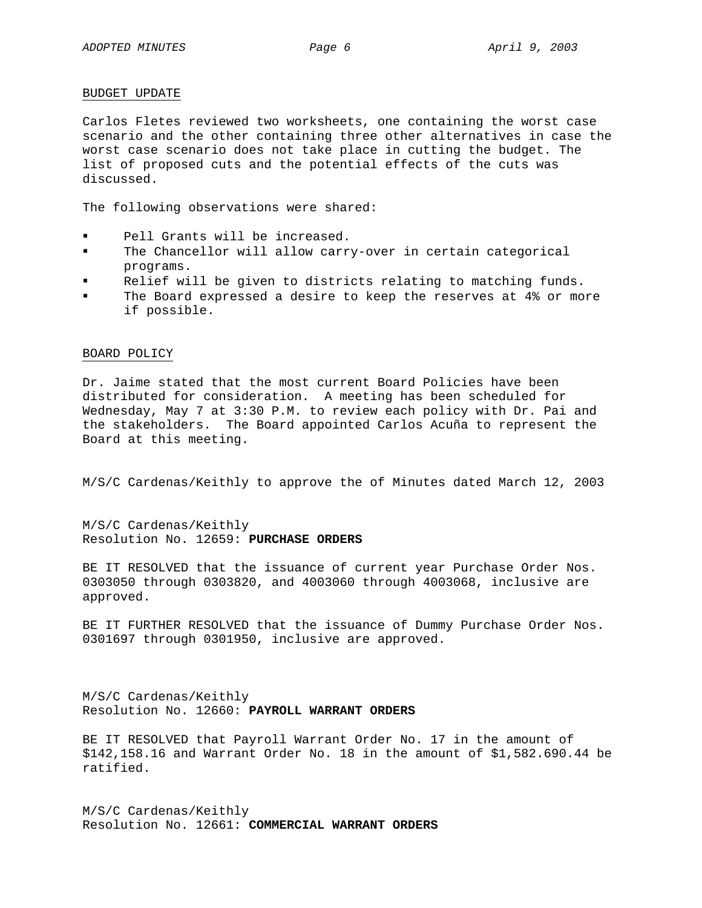## BUDGET UPDATE

Carlos Fletes reviewed two worksheets, one containing the worst case scenario and the other containing three other alternatives in case the worst case scenario does not take place in cutting the budget. The list of proposed cuts and the potential effects of the cuts was discussed.

The following observations were shared:

- Pell Grants will be increased.
- The Chancellor will allow carry-over in certain categorical programs.
- **Relief will be given to districts relating to matching funds.**
- The Board expressed a desire to keep the reserves at 4% or more if possible.

## BOARD POLICY

Dr. Jaime stated that the most current Board Policies have been distributed for consideration. A meeting has been scheduled for Wednesday, May 7 at 3:30 P.M. to review each policy with Dr. Pai and the stakeholders. The Board appointed Carlos Acuña to represent the Board at this meeting.

M/S/C Cardenas/Keithly to approve the of Minutes dated March 12, 2003

M/S/C Cardenas/Keithly Resolution No. 12659: **PURCHASE ORDERS**

BE IT RESOLVED that the issuance of current year Purchase Order Nos. 0303050 through 0303820, and 4003060 through 4003068, inclusive are approved.

BE IT FURTHER RESOLVED that the issuance of Dummy Purchase Order Nos. 0301697 through 0301950, inclusive are approved.

M/S/C Cardenas/Keithly Resolution No. 12660: **PAYROLL WARRANT ORDERS**

BE IT RESOLVED that Payroll Warrant Order No. 17 in the amount of \$142,158.16 and Warrant Order No. 18 in the amount of \$1,582.690.44 be ratified.

M/S/C Cardenas/Keithly Resolution No. 12661: **COMMERCIAL WARRANT ORDERS**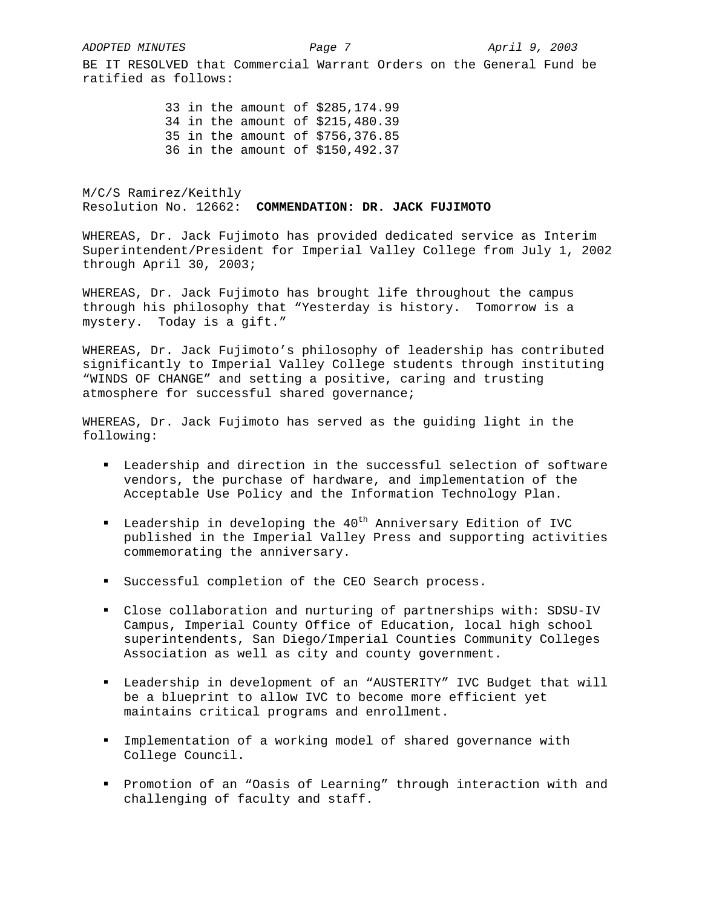*ADOPTED MINUTES Page 7 April 9, 2003* 

BE IT RESOLVED that Commercial Warrant Orders on the General Fund be ratified as follows:

> 33 in the amount of \$285,174.99 34 in the amount of \$215,480.39 35 in the amount of \$756,376.85 36 in the amount of \$150,492.37

M/C/S Ramirez/Keithly Resolution No. 12662: **COMMENDATION: DR. JACK FUJIMOTO** 

WHEREAS, Dr. Jack Fujimoto has provided dedicated service as Interim Superintendent/President for Imperial Valley College from July 1, 2002 through April 30, 2003;

WHEREAS, Dr. Jack Fujimoto has brought life throughout the campus through his philosophy that "Yesterday is history. Tomorrow is a mystery. Today is a gift."

WHEREAS, Dr. Jack Fujimoto's philosophy of leadership has contributed significantly to Imperial Valley College students through instituting "WINDS OF CHANGE" and setting a positive, caring and trusting atmosphere for successful shared governance;

WHEREAS, Dr. Jack Fujimoto has served as the guiding light in the following:

- Leadership and direction in the successful selection of software vendors, the purchase of hardware, and implementation of the Acceptable Use Policy and the Information Technology Plan.
- Leadership in developing the  $40^{th}$  Anniversary Edition of IVC published in the Imperial Valley Press and supporting activities commemorating the anniversary.
- Successful completion of the CEO Search process.
- Close collaboration and nurturing of partnerships with: SDSU-IV Campus, Imperial County Office of Education, local high school superintendents, San Diego/Imperial Counties Community Colleges Association as well as city and county government.
- Leadership in development of an "AUSTERITY" IVC Budget that will be a blueprint to allow IVC to become more efficient yet maintains critical programs and enrollment.
- Implementation of a working model of shared governance with College Council.
- Promotion of an "Oasis of Learning" through interaction with and challenging of faculty and staff.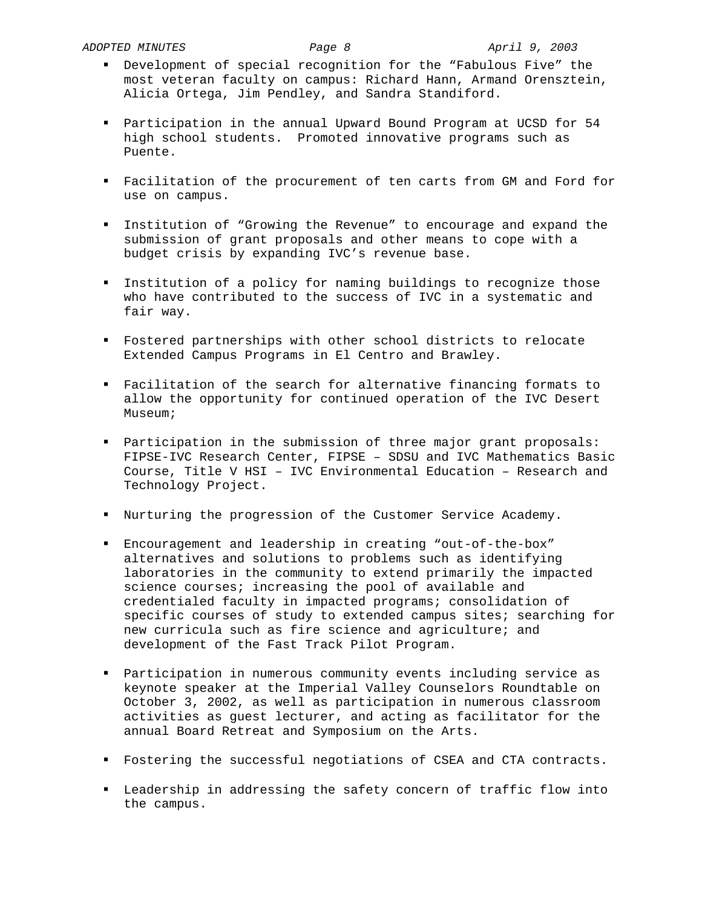- Development of special recognition for the "Fabulous Five" the most veteran faculty on campus: Richard Hann, Armand Orensztein, Alicia Ortega, Jim Pendley, and Sandra Standiford.
- Participation in the annual Upward Bound Program at UCSD for 54 high school students. Promoted innovative programs such as Puente.
- Facilitation of the procurement of ten carts from GM and Ford for use on campus.
- Institution of "Growing the Revenue" to encourage and expand the submission of grant proposals and other means to cope with a budget crisis by expanding IVC's revenue base.
- Institution of a policy for naming buildings to recognize those who have contributed to the success of IVC in a systematic and fair way.
- Fostered partnerships with other school districts to relocate Extended Campus Programs in El Centro and Brawley.
- Facilitation of the search for alternative financing formats to allow the opportunity for continued operation of the IVC Desert Museum;
- Participation in the submission of three major grant proposals: FIPSE-IVC Research Center, FIPSE – SDSU and IVC Mathematics Basic Course, Title V HSI – IVC Environmental Education – Research and Technology Project.
- Nurturing the progression of the Customer Service Academy.
- Encouragement and leadership in creating "out-of-the-box" alternatives and solutions to problems such as identifying laboratories in the community to extend primarily the impacted science courses; increasing the pool of available and credentialed faculty in impacted programs; consolidation of specific courses of study to extended campus sites; searching for new curricula such as fire science and agriculture; and development of the Fast Track Pilot Program.
- Participation in numerous community events including service as keynote speaker at the Imperial Valley Counselors Roundtable on October 3, 2002, as well as participation in numerous classroom activities as guest lecturer, and acting as facilitator for the annual Board Retreat and Symposium on the Arts.
- Fostering the successful negotiations of CSEA and CTA contracts.
- Leadership in addressing the safety concern of traffic flow into the campus.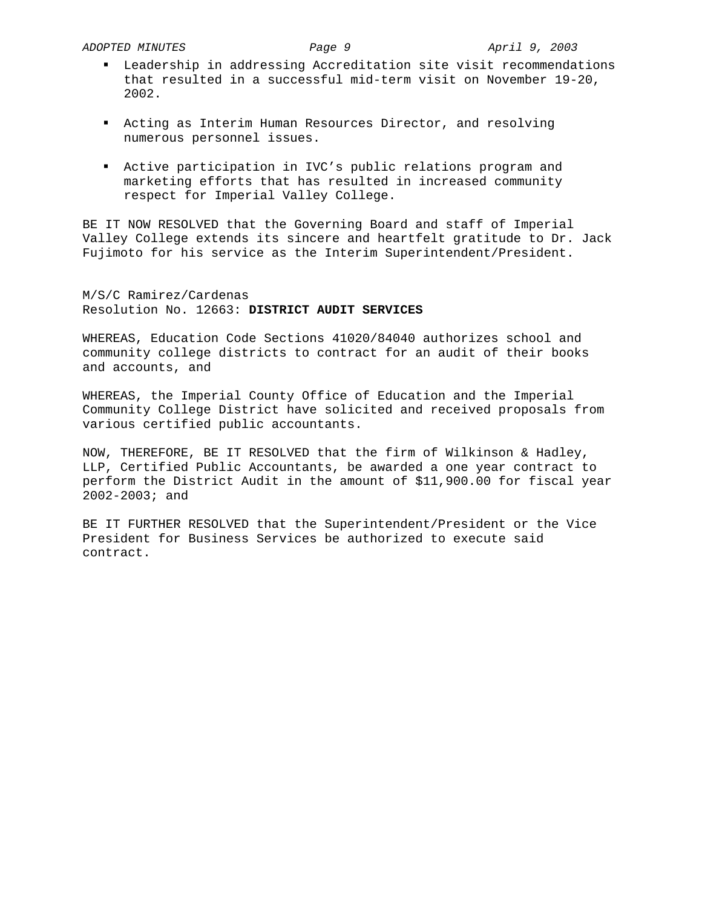- Leadership in addressing Accreditation site visit recommendations that resulted in a successful mid-term visit on November 19-20, 2002.
- Acting as Interim Human Resources Director, and resolving numerous personnel issues.
- Active participation in IVC's public relations program and marketing efforts that has resulted in increased community respect for Imperial Valley College.

BE IT NOW RESOLVED that the Governing Board and staff of Imperial Valley College extends its sincere and heartfelt gratitude to Dr. Jack Fujimoto for his service as the Interim Superintendent/President.

M/S/C Ramirez/Cardenas Resolution No. 12663: **DISTRICT AUDIT SERVICES**

WHEREAS, Education Code Sections 41020/84040 authorizes school and community college districts to contract for an audit of their books and accounts, and

WHEREAS, the Imperial County Office of Education and the Imperial Community College District have solicited and received proposals from various certified public accountants.

NOW, THEREFORE, BE IT RESOLVED that the firm of Wilkinson & Hadley, LLP, Certified Public Accountants, be awarded a one year contract to perform the District Audit in the amount of \$11,900.00 for fiscal year 2002-2003; and

BE IT FURTHER RESOLVED that the Superintendent/President or the Vice President for Business Services be authorized to execute said contract.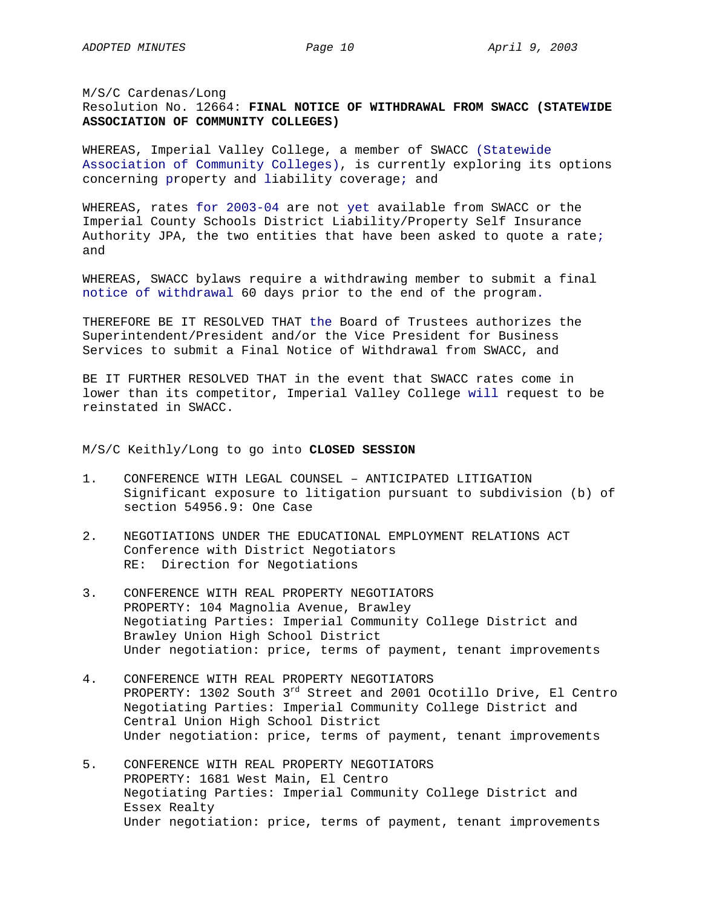M/S/C Cardenas/Long Resolution No. 12664: **FINAL NOTICE OF WITHDRAWAL FROM SWACC (STATEWIDE ASSOCIATION OF COMMUNITY COLLEGES)** 

WHEREAS, Imperial Valley College, a member of SWACC (Statewide Association of Community Colleges), is currently exploring its options concerning property and liability coverage; and

WHEREAS, rates for 2003-04 are not yet available from SWACC or the Imperial County Schools District Liability/Property Self Insurance Authority JPA, the two entities that have been asked to quote a rate; and

WHEREAS, SWACC bylaws require a withdrawing member to submit a final notice of withdrawal 60 days prior to the end of the program.

THEREFORE BE IT RESOLVED THAT the Board of Trustees authorizes the Superintendent/President and/or the Vice President for Business Services to submit a Final Notice of Withdrawal from SWACC, and

BE IT FURTHER RESOLVED THAT in the event that SWACC rates come in lower than its competitor, Imperial Valley College will request to be reinstated in SWACC.

M/S/C Keithly/Long to go into **CLOSED SESSION** 

- 1. CONFERENCE WITH LEGAL COUNSEL ANTICIPATED LITIGATION Significant exposure to litigation pursuant to subdivision (b) of section 54956.9: One Case
- 2. NEGOTIATIONS UNDER THE EDUCATIONAL EMPLOYMENT RELATIONS ACT Conference with District Negotiators RE: Direction for Negotiations
- 3. CONFERENCE WITH REAL PROPERTY NEGOTIATORS PROPERTY: 104 Magnolia Avenue, Brawley Negotiating Parties: Imperial Community College District and Brawley Union High School District Under negotiation: price, terms of payment, tenant improvements
- 4. CONFERENCE WITH REAL PROPERTY NEGOTIATORS PROPERTY: 1302 South 3<sup>rd</sup> Street and 2001 Ocotillo Drive, El Centro Negotiating Parties: Imperial Community College District and Central Union High School District Under negotiation: price, terms of payment, tenant improvements
- 5. CONFERENCE WITH REAL PROPERTY NEGOTIATORS PROPERTY: 1681 West Main, El Centro Negotiating Parties: Imperial Community College District and Essex Realty Under negotiation: price, terms of payment, tenant improvements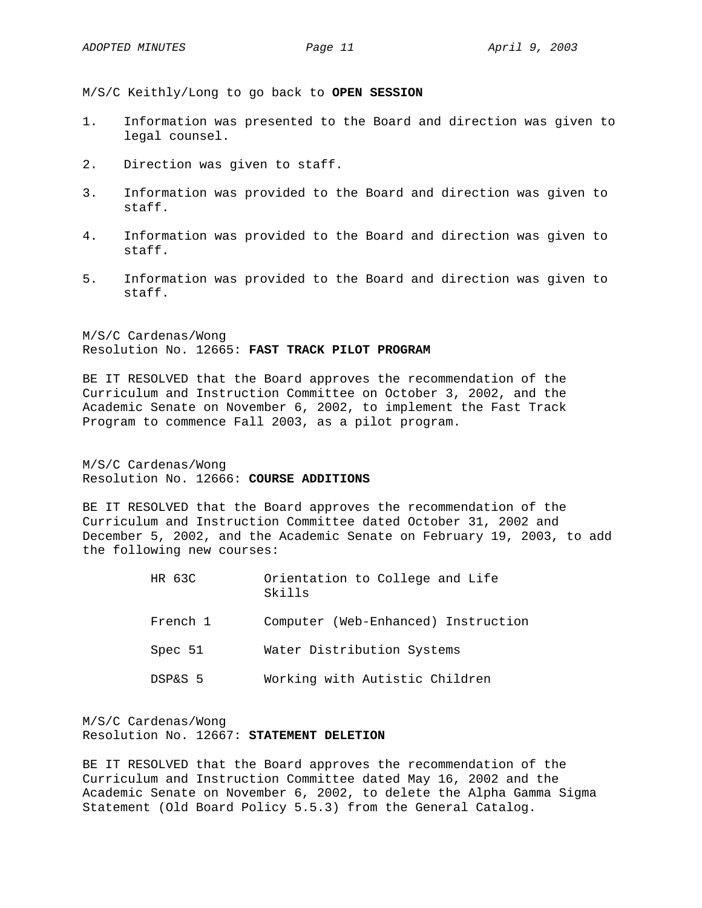M/S/C Keithly/Long to go back to **OPEN SESSION** 

- 1. Information was presented to the Board and direction was given to legal counsel.
- 2. Direction was given to staff.
- 3. Information was provided to the Board and direction was given to staff.
- 4. Information was provided to the Board and direction was given to staff.
- 5. Information was provided to the Board and direction was given to staff.

M/S/C Cardenas/Wong Resolution No. 12665: **FAST TRACK PILOT PROGRAM**

BE IT RESOLVED that the Board approves the recommendation of the Curriculum and Instruction Committee on October 3, 2002, and the Academic Senate on November 6, 2002, to implement the Fast Track Program to commence Fall 2003, as a pilot program.

M/S/C Cardenas/Wong Resolution No. 12666: **COURSE ADDITIONS**

BE IT RESOLVED that the Board approves the recommendation of the Curriculum and Instruction Committee dated October 31, 2002 and December 5, 2002, and the Academic Senate on February 19, 2003, to add the following new courses:

> HR 63C Orientation to College and Life Skills French 1 Computer (Web-Enhanced) Instruction Spec 51 Water Distribution Systems DSP&S 5 Working with Autistic Children

M/S/C Cardenas/Wong Resolution No. 12667: **STATEMENT DELETION**

BE IT RESOLVED that the Board approves the recommendation of the Curriculum and Instruction Committee dated May 16, 2002 and the Academic Senate on November 6, 2002, to delete the Alpha Gamma Sigma Statement (Old Board Policy 5.5.3) from the General Catalog.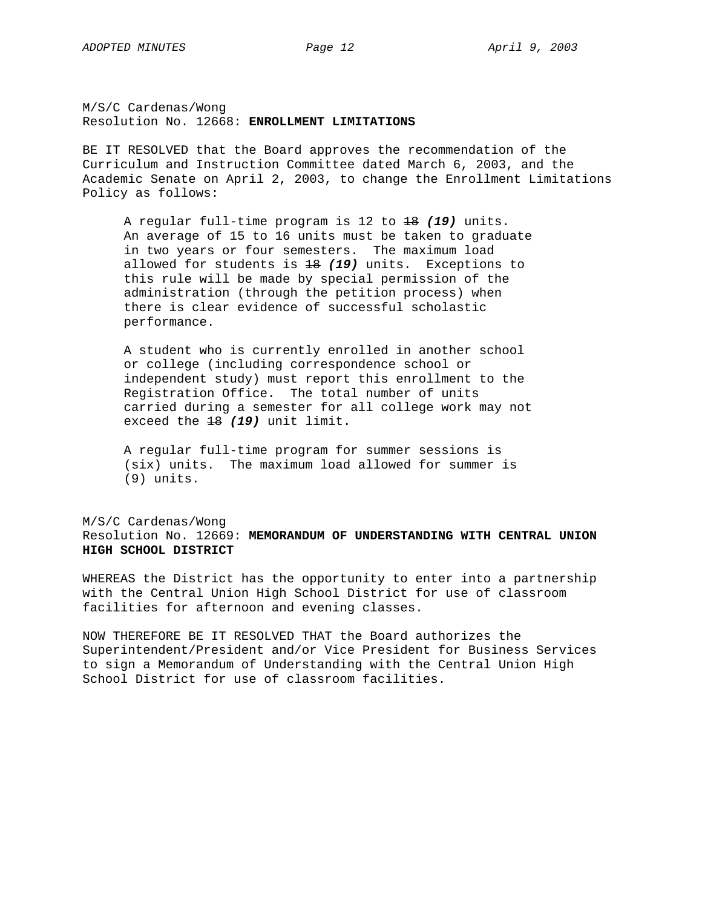M/S/C Cardenas/Wong Resolution No. 12668: **ENROLLMENT LIMITATIONS**

BE IT RESOLVED that the Board approves the recommendation of the Curriculum and Instruction Committee dated March 6, 2003, and the Academic Senate on April 2, 2003, to change the Enrollment Limitations Policy as follows:

A regular full-time program is 12 to 18 *(19)* units. An average of 15 to 16 units must be taken to graduate in two years or four semesters. The maximum load allowed for students is 18 *(19)* units. Exceptions to this rule will be made by special permission of the administration (through the petition process) when there is clear evidence of successful scholastic performance.

A student who is currently enrolled in another school or college (including correspondence school or independent study) must report this enrollment to the Registration Office. The total number of units carried during a semester for all college work may not exceed the 18 *(19)* unit limit.

A regular full-time program for summer sessions is (six) units. The maximum load allowed for summer is (9) units.

M/S/C Cardenas/Wong Resolution No. 12669: **MEMORANDUM OF UNDERSTANDING WITH CENTRAL UNION HIGH SCHOOL DISTRICT**

WHEREAS the District has the opportunity to enter into a partnership with the Central Union High School District for use of classroom facilities for afternoon and evening classes.

NOW THEREFORE BE IT RESOLVED THAT the Board authorizes the Superintendent/President and/or Vice President for Business Services to sign a Memorandum of Understanding with the Central Union High School District for use of classroom facilities.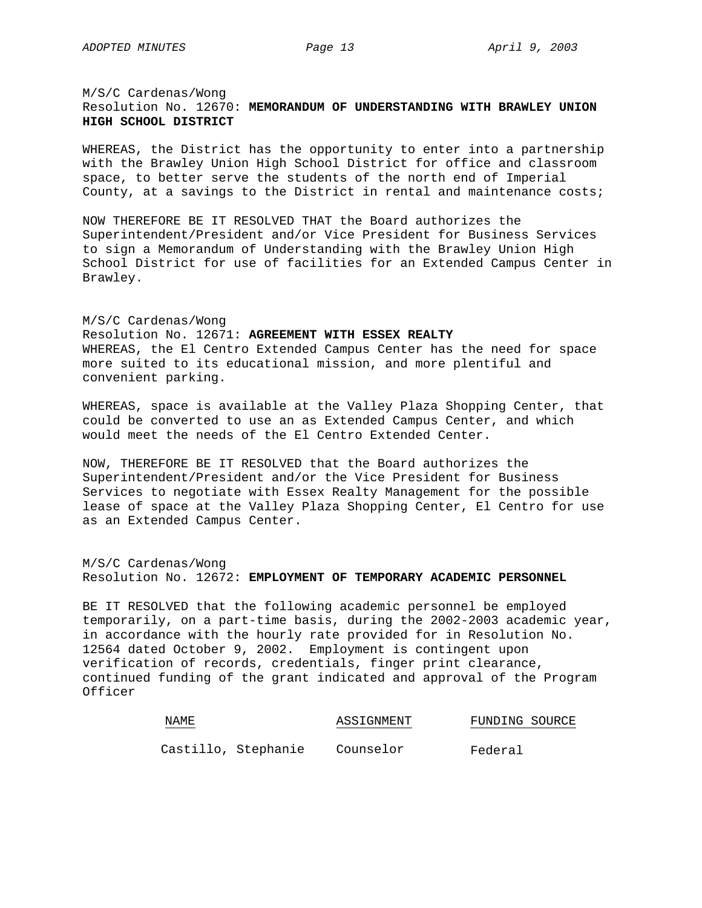## M/S/C Cardenas/Wong Resolution No. 12670: **MEMORANDUM OF UNDERSTANDING WITH BRAWLEY UNION HIGH SCHOOL DISTRICT**

WHEREAS, the District has the opportunity to enter into a partnership with the Brawley Union High School District for office and classroom space, to better serve the students of the north end of Imperial County, at a savings to the District in rental and maintenance costs;

NOW THEREFORE BE IT RESOLVED THAT the Board authorizes the Superintendent/President and/or Vice President for Business Services to sign a Memorandum of Understanding with the Brawley Union High School District for use of facilities for an Extended Campus Center in Brawley.

### M/S/C Cardenas/Wong

Resolution No. 12671: **AGREEMENT WITH ESSEX REALTY** WHEREAS, the El Centro Extended Campus Center has the need for space more suited to its educational mission, and more plentiful and convenient parking.

WHEREAS, space is available at the Valley Plaza Shopping Center, that could be converted to use an as Extended Campus Center, and which would meet the needs of the El Centro Extended Center.

NOW, THEREFORE BE IT RESOLVED that the Board authorizes the Superintendent/President and/or the Vice President for Business Services to negotiate with Essex Realty Management for the possible lease of space at the Valley Plaza Shopping Center, El Centro for use as an Extended Campus Center.

## M/S/C Cardenas/Wong Resolution No. 12672: **EMPLOYMENT OF TEMPORARY ACADEMIC PERSONNEL**

BE IT RESOLVED that the following academic personnel be employed temporarily, on a part-time basis, during the 2002-2003 academic year, in accordance with the hourly rate provided for in Resolution No. 12564 dated October 9, 2002. Employment is contingent upon verification of records, credentials, finger print clearance, continued funding of the grant indicated and approval of the Program Officer

| NAME. |                     | ASSIGNMENT | FUNDING SOURCE |
|-------|---------------------|------------|----------------|
|       | Castillo, Stephanie | Counselor  | Federal        |
|       |                     |            |                |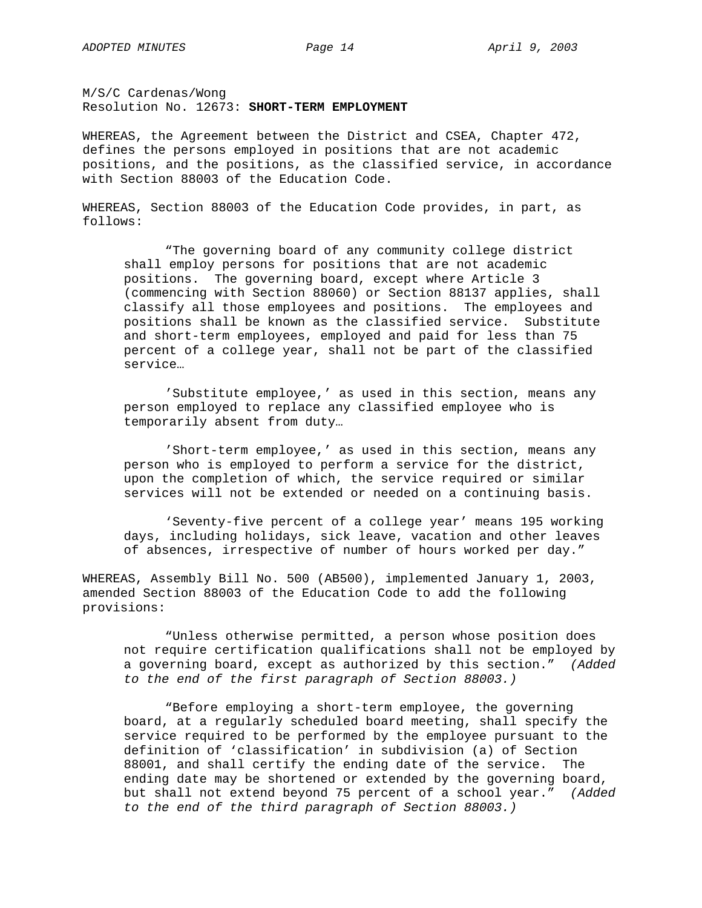M/S/C Cardenas/Wong Resolution No. 12673: **SHORT-TERM EMPLOYMENT**

WHEREAS, the Agreement between the District and CSEA, Chapter 472, defines the persons employed in positions that are not academic positions, and the positions, as the classified service, in accordance with Section 88003 of the Education Code.

WHEREAS, Section 88003 of the Education Code provides, in part, as follows:

"The governing board of any community college district shall employ persons for positions that are not academic positions. The governing board, except where Article 3 (commencing with Section 88060) or Section 88137 applies, shall classify all those employees and positions. The employees and positions shall be known as the classified service. Substitute and short-term employees, employed and paid for less than 75 percent of a college year, shall not be part of the classified service…

'Substitute employee,' as used in this section, means any person employed to replace any classified employee who is temporarily absent from duty…

'Short-term employee,' as used in this section, means any person who is employed to perform a service for the district, upon the completion of which, the service required or similar services will not be extended or needed on a continuing basis.

'Seventy-five percent of a college year' means 195 working days, including holidays, sick leave, vacation and other leaves of absences, irrespective of number of hours worked per day."

WHEREAS, Assembly Bill No. 500 (AB500), implemented January 1, 2003, amended Section 88003 of the Education Code to add the following provisions:

"Unless otherwise permitted, a person whose position does not require certification qualifications shall not be employed by a governing board, except as authorized by this section." *(Added to the end of the first paragraph of Section 88003.)* 

"Before employing a short-term employee, the governing board, at a regularly scheduled board meeting, shall specify the service required to be performed by the employee pursuant to the definition of 'classification' in subdivision (a) of Section 88001, and shall certify the ending date of the service. The ending date may be shortened or extended by the governing board, but shall not extend beyond 75 percent of a school year." *(Added to the end of the third paragraph of Section 88003.)*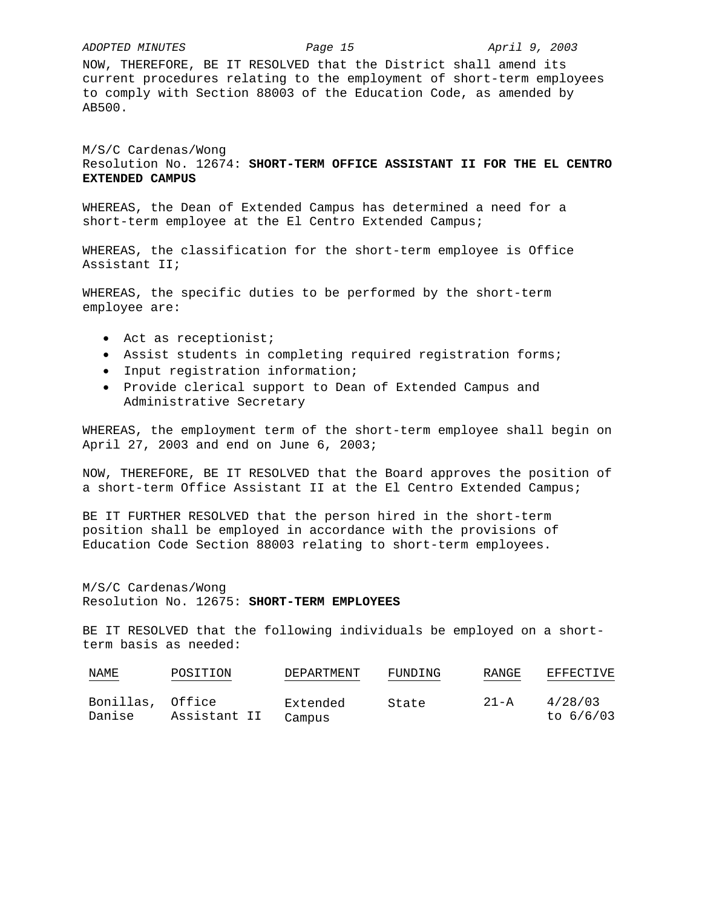#### *ADOPTED MINUTES Page 15 April 9, 2003*

NOW, THEREFORE, BE IT RESOLVED that the District shall amend its current procedures relating to the employment of short-term employees to comply with Section 88003 of the Education Code, as amended by AB500.

M/S/C Cardenas/Wong Resolution No. 12674: **SHORT-TERM OFFICE ASSISTANT II FOR THE EL CENTRO EXTENDED CAMPUS**

WHEREAS, the Dean of Extended Campus has determined a need for a short-term employee at the El Centro Extended Campus;

WHEREAS, the classification for the short-term employee is Office Assistant II;

WHEREAS, the specific duties to be performed by the short-term employee are:

- Act as receptionist;
- Assist students in completing required registration forms;
- Input registration information;
- Provide clerical support to Dean of Extended Campus and Administrative Secretary

WHEREAS, the employment term of the short-term employee shall begin on April 27, 2003 and end on June 6, 2003;

NOW, THEREFORE, BE IT RESOLVED that the Board approves the position of a short-term Office Assistant II at the El Centro Extended Campus;

BE IT FURTHER RESOLVED that the person hired in the short-term position shall be employed in accordance with the provisions of Education Code Section 88003 relating to short-term employees.

M/S/C Cardenas/Wong Resolution No. 12675: **SHORT-TERM EMPLOYEES**

BE IT RESOLVED that the following individuals be employed on a shortterm basis as needed:

| NAME<br>$\sim$ $\sim$ $\sim$ $\sim$ $\sim$ | POSITION     | DEPARTMENT         | FUNDING | RANGE    | EFFECTIVE              |
|--------------------------------------------|--------------|--------------------|---------|----------|------------------------|
| Bonillas, Office<br>Danise                 | Assistant II | Extended<br>Campus | State   | $21 - A$ | 4/28/03<br>to $6/6/03$ |